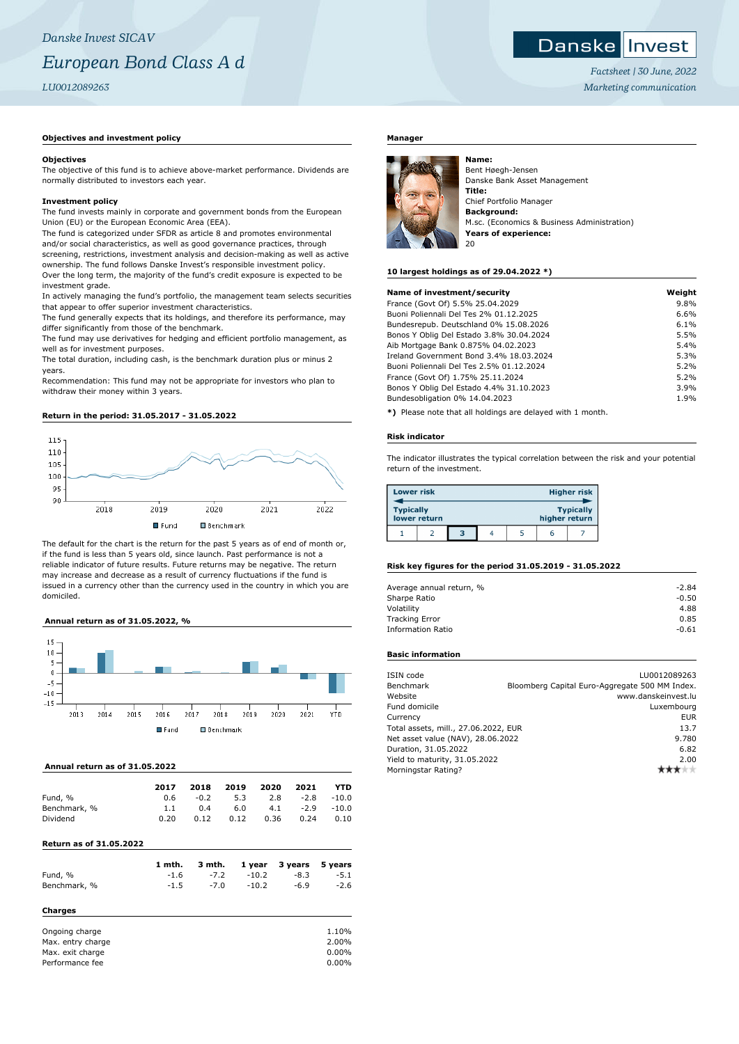*Danske Invest SICAV European Bond Class A d LU0012089263*

## **Objectives and investment policy**

## **Objectives**

The objective of this fund is to achieve above-market performance. Dividends are normally distributed to investors each year.

## **Investment policy**

The fund invests mainly in corporate and government bonds from the European Union (EU) or the European Economic Area (EEA).

The fund is categorized under SFDR as article 8 and promotes environmental and/or social characteristics, as well as good governance practices, through screening, restrictions, investment analysis and decision-making as well as active ownership. The fund follows Danske Invest's responsible investment policy. Over the long term, the majority of the fund's credit exposure is expected to be investment grade.

In actively managing the fund's portfolio, the management team selects securities that appear to offer superior investment characteristics.

The fund generally expects that its holdings, and therefore its performance, may differ significantly from those of the benchmark.

The fund may use derivatives for hedging and efficient portfolio management, as well as for investment purposes.

The total duration, including cash, is the benchmark duration plus or minus 2 years.

Recommendation: This fund may not be appropriate for investors who plan to withdraw their money within 3 years.

## **Return in the period: 31.05.2017 - 31.05.2022**



The default for the chart is the return for the past 5 years as of end of month or, if the fund is less than 5 years old, since launch. Past performance is not a reliable indicator of future results. Future returns may be negative. The return may increase and decrease as a result of currency fluctuations if the fund is issued in a currency other than the currency used in the country in which you are domiciled.

## **Annual return as of 31.05.2022, %**



## **Annual return as of 31.05.2022**

| 2017 | 2018   | 2019 | 2020 | 2021   | <b>YTD</b> |
|------|--------|------|------|--------|------------|
| 0.6  | $-0.2$ | 5.3  | 2.8  | $-2.8$ | $-10.0$    |
| 1.1  | 0.4    | 6.0  | 4.1  | $-2.9$ | $-10.0$    |
| 0.20 | 0.12   | 0.12 | 0.36 | 0.24   | 0.10       |
|      |        |      |      |        |            |

## **Return as of 31.05.2022**

|                   | 1 mth. | 3 mth. | 1 year  | 3 years | 5 years  |
|-------------------|--------|--------|---------|---------|----------|
| Fund, %           | $-1.6$ | $-7.2$ | $-10.2$ | $-8.3$  | $-5.1$   |
| Benchmark, %      | $-1.5$ | $-7.0$ | $-10.2$ | $-6.9$  | $-2.6$   |
| Charges           |        |        |         |         |          |
| Ongoing charge    |        |        |         |         | 1.10%    |
| Max. entry charge |        |        |         |         | 2.00%    |
| Max. exit charge  |        |        |         |         | $0.00\%$ |
| Performance fee   |        |        |         |         | $0.00\%$ |

## **Manager**



Bent Høegh-Jensen Danske Bank Asset Management **Title:** Chief Portfolio Manager **Background:** M.sc. (Economics & Business Administration) **Years of experience:** 20

## **10 largest holdings as of 29.04.2022 \*)**

**Name:**

| Name of investment/security              | Weight |
|------------------------------------------|--------|
| France (Govt Of) 5.5% 25.04.2029         | 9.8%   |
| Buoni Poliennali Del Tes 2% 01.12.2025   | 6.6%   |
| Bundesrepub. Deutschland 0% 15.08.2026   | 6.1%   |
| Bonos Y Oblig Del Estado 3.8% 30.04.2024 | 5.5%   |
| Aib Mortgage Bank 0.875% 04.02.2023      | 5.4%   |
| Ireland Government Bond 3.4% 18.03.2024  | 5.3%   |
| Buoni Poliennali Del Tes 2.5% 01.12.2024 | 5.2%   |
| France (Govt Of) 1.75% 25.11.2024        | 5.2%   |
| Bonos Y Oblig Del Estado 4.4% 31.10.2023 | 3.9%   |
| Bundesobligation 0% 14.04.2023           | 1.9%   |
|                                          |        |

**\*)** Please note that all holdings are delayed with 1 month.

#### **Risk indicator**

The indicator illustrates the typical correlation between the risk and your potential return of the investment.

| <b>Lower risk</b> |              |   |  |               | <b>Higher risk</b> |
|-------------------|--------------|---|--|---------------|--------------------|
| <b>Typically</b>  | lower return |   |  | higher return | <b>Typically</b>   |
|                   |              | з |  | r             |                    |

## **Risk key figures for the period 31.05.2019 - 31.05.2022**

| Average annual return, % | $-2.84$ |
|--------------------------|---------|
| Sharpe Ratio             | $-0.50$ |
| Volatility               | 4.88    |
| <b>Tracking Error</b>    | 0.85    |
| <b>Information Ratio</b> | $-0.61$ |

## **Basic information**

| ISIN code                            | LU0012089263                                   |
|--------------------------------------|------------------------------------------------|
| Benchmark                            | Bloomberg Capital Euro-Aggregate 500 MM Index. |
| Website                              | www.danskeinvest.lu                            |
| Fund domicile                        | Luxembourg                                     |
| Currency                             | <b>EUR</b>                                     |
| Total assets, mill., 27.06.2022, EUR | 13.7                                           |
| Net asset value (NAV), 28.06.2022    | 9.780                                          |
| Duration, 31.05.2022                 | 6.82                                           |
| Yield to maturity, 31.05.2022        | 2.00                                           |
| Morningstar Rating?                  |                                                |

## Danske Invest

*Factsheet | 30 June, 2022 Marketing communication*